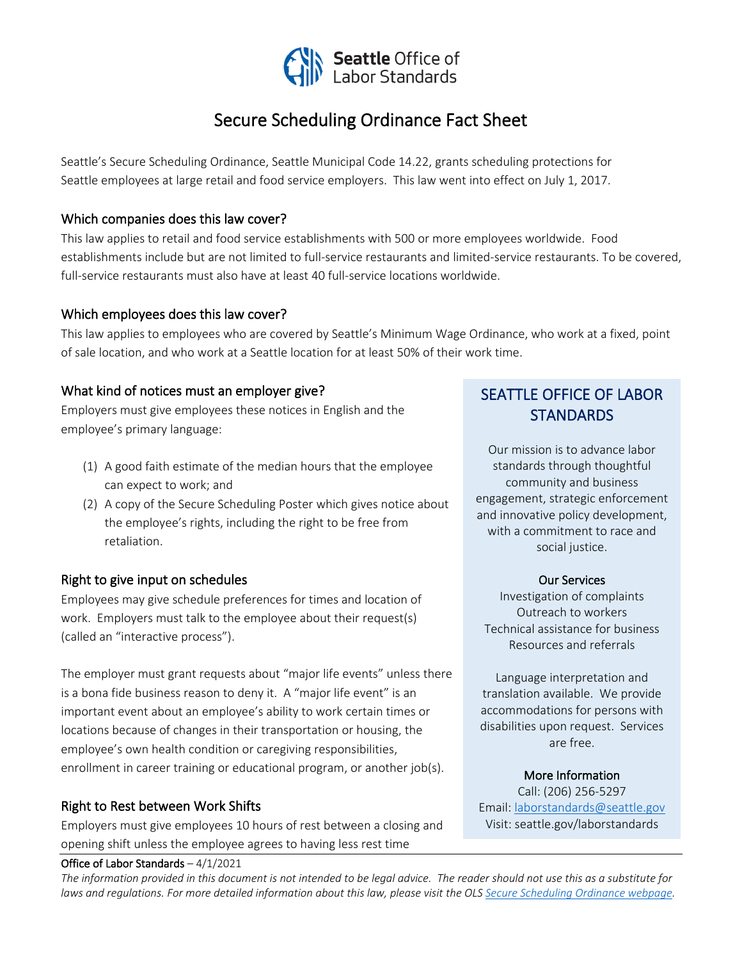

# Secure Scheduling Ordinance Fact Sheet

Seattle's Secure Scheduling Ordinance, Seattle Municipal Code 14.22, grants scheduling protections for Seattle employees at large retail and food service employers. This law went into effect on July 1, 2017.

### Which companies does this law cover?

This law applies to retail and food service establishments with 500 or more employees worldwide. Food establishments include but are not limited to full-service restaurants and limited-service restaurants. To be covered, full-service restaurants must also have at least 40 full-service locations worldwide.

### Which employees does this law cover?

This law applies to employees who are covered by Seattle's Minimum Wage Ordinance, who work at a fixed, point of sale location, and who work at a Seattle location for at least 50% of their work time.

### What kind of notices must an employer give?

Employers must give employees these notices in English and the employee's primary language:

- (1) A good faith estimate of the median hours that the employee can expect to work; and
- (2) A copy of the Secure Scheduling Poster which gives notice about the employee's rights, including the right to be free from retaliation.

### Right to give input on schedules

Employees may give schedule preferences for times and location of work. Employers must talk to the employee about their request(s) (called an "interactive process").

The employer must grant requests about "major life events" unless there is a bona fide business reason to deny it. A "major life event" is an important event about an employee's ability to work certain times or locations because of changes in their transportation or housing, the employee's own health condition or caregiving responsibilities, enrollment in career training or educational program, or another job(s).

## Right to Rest between Work Shifts

Employers must give employees 10 hours of rest between a closing and opening shift unless the employee agrees to having less rest time

#### Office of Labor Standards – 4/1/2021

# SEATTLE OFFICE OF LABOR **STANDARDS**

Our mission is to advance labor standards through thoughtful community and business engagement, strategic enforcement and innovative policy development, with a commitment to race and social justice.

#### Our Services

Investigation of complaints Outreach to workers Technical assistance for business Resources and referrals

Language interpretation and translation available. We provide accommodations for persons with disabilities upon request. Services are free.

### More Information

Call: (206) 256-5297 Email: [laborstandards@seattle.gov](mailto:laborstandards@seattle.gov) Visit: seattle.gov/laborstandards

֧֦֦֞֝֬֬֝֬֝֬֝֬

*The information provided in this document is not intended to be legal advice. The reader should not use this as a substitute for laws and regulations. For more detailed information about this law, please visit the OLS [Secure Scheduling Ordinance webpage.](http://www.seattle.gov/laborstandards/ordinances)*